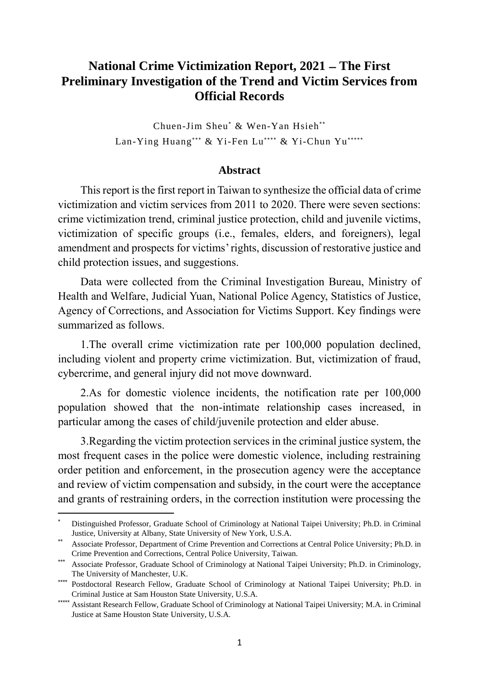## **National Crime Victimization Report, 2021 – The First Preliminary Investigation of the Trend and Victim Services from Official Records**

Chuen-Jim Sheu\* & Wen-Yan Hsieh\* \* Lan-Ying Huang\*\*\* & Yi-Fen Lu\*\*\*\* & Yi-Chun Yu\*\*\*\*\*

## **Abstract**

This report is the first report in Taiwan to synthesize the official data of crime victimization and victim services from 2011 to 2020. There were seven sections: crime victimization trend, criminal justice protection, child and juvenile victims, victimization of specific groups (i.e., females, elders, and foreigners), legal amendment and prospects for victims' rights, discussion of restorative justice and child protection issues, and suggestions.

Data were collected from the Criminal Investigation Bureau, Ministry of Health and Welfare, Judicial Yuan, National Police Agency, Statistics of Justice, Agency of Corrections, and Association for Victims Support. Key findings were summarized as follows.

1.The overall crime victimization rate per 100,000 population declined, including violent and property crime victimization. But, victimization of fraud, cybercrime, and general injury did not move downward.

2.As for domestic violence incidents, the notification rate per 100,000 population showed that the non-intimate relationship cases increased, in particular among the cases of child/juvenile protection and elder abuse.

3.Regarding the victim protection services in the criminal justice system, the most frequent cases in the police were domestic violence, including restraining order petition and enforcement, in the prosecution agency were the acceptance and review of victim compensation and subsidy, in the court were the acceptance and grants of restraining orders, in the correction institution were processing the

 $\overline{a}$ 

<sup>\*</sup> Distinguished Professor, Graduate School of Criminology at National Taipei University; Ph.D. in Criminal Justice, University at Albany, State University of New York, U.S.A.

<sup>\*\*</sup> Associate Professor, Department of Crime Prevention and Corrections at Central Police University; Ph.D. in Crime Prevention and Corrections, Central Police University, Taiwan.

<sup>\*\*\*</sup> Associate Professor, Graduate School of Criminology at National Taipei University; Ph.D. in Criminology, The University of Manchester, U.K.

<sup>\*\*\*\*</sup> Postdoctoral Research Fellow, Graduate School of Criminology at National Taipei University; Ph.D. in Criminal Justice at Sam Houston State University, U.S.A.

<sup>\*\*\*\*\*\*</sup> Assistant Research Fellow, Graduate School of Criminology at National Taipei University; M.A. in Criminal Justice at Same Houston State University, U.S.A.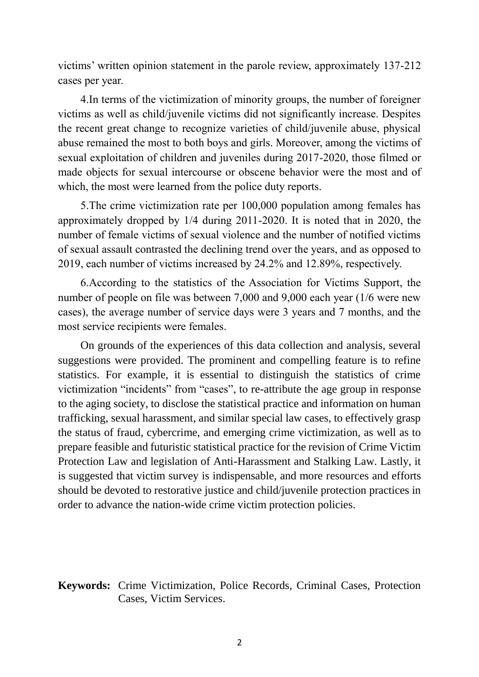victims' written opinion statement in the parole review, approximately 137-212 cases per year.

4.In terms of the victimization of minority groups, the number of foreigner victims as well as child/juvenile victims did not significantly increase. Despites the recent great change to recognize varieties of child/juvenile abuse, physical abuse remained the most to both boys and girls. Moreover, among the victims of sexual exploitation of children and juveniles during 2017-2020, those filmed or made objects for sexual intercourse or obscene behavior were the most and of which, the most were learned from the police duty reports.

5.The crime victimization rate per 100,000 population among females has approximately dropped by 1/4 during 2011-2020. It is noted that in 2020, the number of female victims of sexual violence and the number of notified victims of sexual assault contrasted the declining trend over the years, and as opposed to 2019, each number of victims increased by 24.2% and 12.89%, respectively.

6.According to the statistics of the Association for Victims Support, the number of people on file was between 7,000 and 9,000 each year (1/6 were new cases), the average number of service days were 3 years and 7 months, and the most service recipients were females.

On grounds of the experiences of this data collection and analysis, several suggestions were provided. The prominent and compelling feature is to refine statistics. For example, it is essential to distinguish the statistics of crime victimization "incidents" from "cases", to re-attribute the age group in response to the aging society, to disclose the statistical practice and information on human trafficking, sexual harassment, and similar special law cases, to effectively grasp the status of fraud, cybercrime, and emerging crime victimization, as well as to prepare feasible and futuristic statistical practice for the revision of Crime Victim Protection Law and legislation of Anti-Harassment and Stalking Law. Lastly, it is suggested that victim survey is indispensable, and more resources and efforts should be devoted to restorative justice and child/juvenile protection practices in order to advance the nation-wide crime victim protection policies.

## **Keywords:** Crime Victimization, Police Records, Criminal Cases, Protection Cases, Victim Services.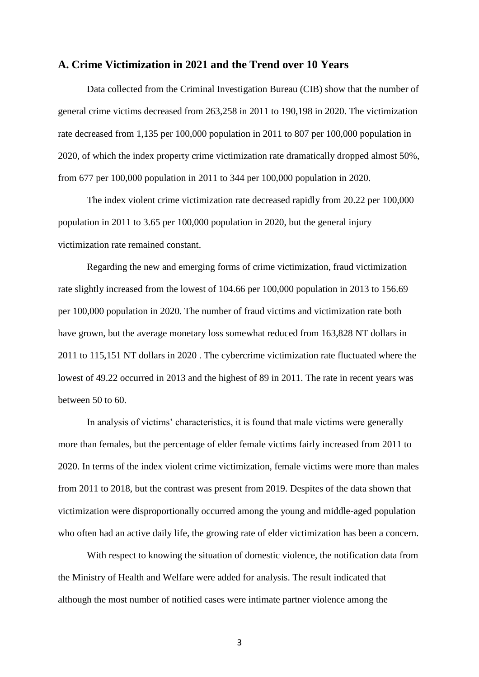## **A. Crime Victimization in 2021 and the Trend over 10 Years**

Data collected from the Criminal Investigation Bureau (CIB) show that the number of general crime victims decreased from 263,258 in 2011 to 190,198 in 2020. The victimization rate decreased from 1,135 per 100,000 population in 2011 to 807 per 100,000 population in 2020, of which the index property crime victimization rate dramatically dropped almost 50%, from 677 per 100,000 population in 2011 to 344 per 100,000 population in 2020.

The index violent crime victimization rate decreased rapidly from 20.22 per 100,000 population in 2011 to 3.65 per 100,000 population in 2020, but the general injury victimization rate remained constant.

Regarding the new and emerging forms of crime victimization, fraud victimization rate slightly increased from the lowest of 104.66 per 100,000 population in 2013 to 156.69 per 100,000 population in 2020. The number of fraud victims and victimization rate both have grown, but the average monetary loss somewhat reduced from 163,828 NT dollars in 2011 to 115,151 NT dollars in 2020 . The cybercrime victimization rate fluctuated where the lowest of 49.22 occurred in 2013 and the highest of 89 in 2011. The rate in recent years was between 50 to 60.

In analysis of victims' characteristics, it is found that male victims were generally more than females, but the percentage of elder female victims fairly increased from 2011 to 2020. In terms of the index violent crime victimization, female victims were more than males from 2011 to 2018, but the contrast was present from 2019. Despites of the data shown that victimization were disproportionally occurred among the young and middle-aged population who often had an active daily life, the growing rate of elder victimization has been a concern.

With respect to knowing the situation of domestic violence, the notification data from the Ministry of Health and Welfare were added for analysis. The result indicated that although the most number of notified cases were intimate partner violence among the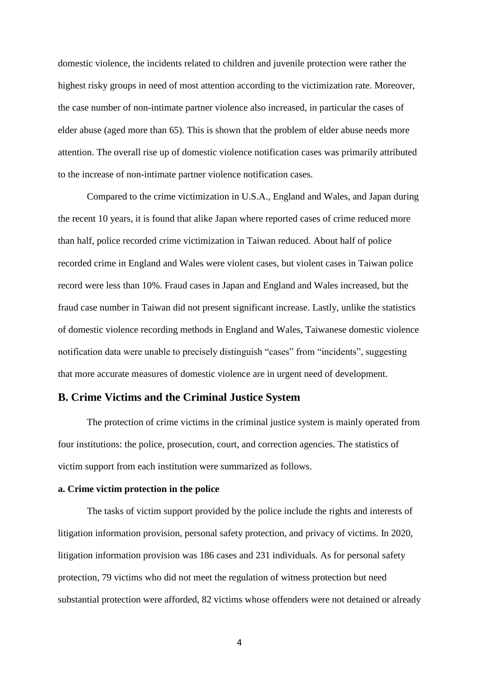domestic violence, the incidents related to children and juvenile protection were rather the highest risky groups in need of most attention according to the victimization rate. Moreover, the case number of non-intimate partner violence also increased, in particular the cases of elder abuse (aged more than 65). This is shown that the problem of elder abuse needs more attention. The overall rise up of domestic violence notification cases was primarily attributed to the increase of non-intimate partner violence notification cases.

Compared to the crime victimization in U.S.A., England and Wales, and Japan during the recent 10 years, it is found that alike Japan where reported cases of crime reduced more than half, police recorded crime victimization in Taiwan reduced. About half of police recorded crime in England and Wales were violent cases, but violent cases in Taiwan police record were less than 10%. Fraud cases in Japan and England and Wales increased, but the fraud case number in Taiwan did not present significant increase. Lastly, unlike the statistics of domestic violence recording methods in England and Wales, Taiwanese domestic violence notification data were unable to precisely distinguish "cases" from "incidents", suggesting that more accurate measures of domestic violence are in urgent need of development.

### **B. Crime Victims and the Criminal Justice System**

The protection of crime victims in the criminal justice system is mainly operated from four institutions: the police, prosecution, court, and correction agencies. The statistics of victim support from each institution were summarized as follows.

#### **a. Crime victim protection in the police**

The tasks of victim support provided by the police include the rights and interests of litigation information provision, personal safety protection, and privacy of victims. In 2020, litigation information provision was 186 cases and 231 individuals. As for personal safety protection, 79 victims who did not meet the regulation of witness protection but need substantial protection were afforded, 82 victims whose offenders were not detained or already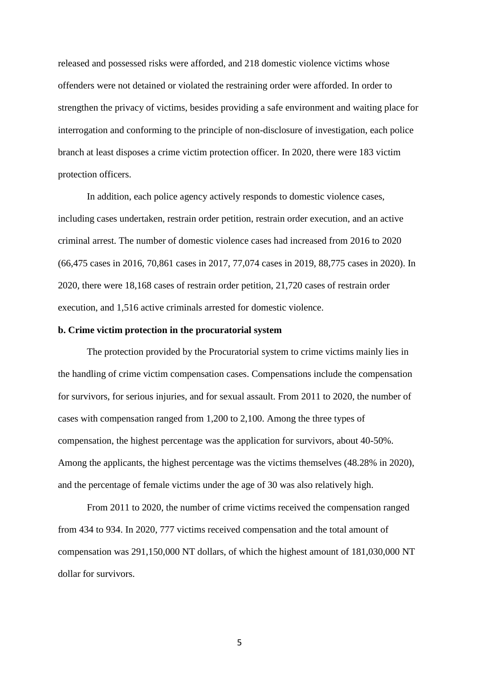released and possessed risks were afforded, and 218 domestic violence victims whose offenders were not detained or violated the restraining order were afforded. In order to strengthen the privacy of victims, besides providing a safe environment and waiting place for interrogation and conforming to the principle of non-disclosure of investigation, each police branch at least disposes a crime victim protection officer. In 2020, there were 183 victim protection officers.

In addition, each police agency actively responds to domestic violence cases, including cases undertaken, restrain order petition, restrain order execution, and an active criminal arrest. The number of domestic violence cases had increased from 2016 to 2020 (66,475 cases in 2016, 70,861 cases in 2017, 77,074 cases in 2019, 88,775 cases in 2020). In 2020, there were 18,168 cases of restrain order petition, 21,720 cases of restrain order execution, and 1,516 active criminals arrested for domestic violence.

### **b. Crime victim protection in the procuratorial system**

The protection provided by the Procuratorial system to crime victims mainly lies in the handling of crime victim compensation cases. Compensations include the compensation for survivors, for serious injuries, and for sexual assault. From 2011 to 2020, the number of cases with compensation ranged from 1,200 to 2,100. Among the three types of compensation, the highest percentage was the application for survivors, about 40-50%. Among the applicants, the highest percentage was the victims themselves (48.28% in 2020), and the percentage of female victims under the age of 30 was also relatively high.

From 2011 to 2020, the number of crime victims received the compensation ranged from 434 to 934. In 2020, 777 victims received compensation and the total amount of compensation was 291,150,000 NT dollars, of which the highest amount of 181,030,000 NT dollar for survivors.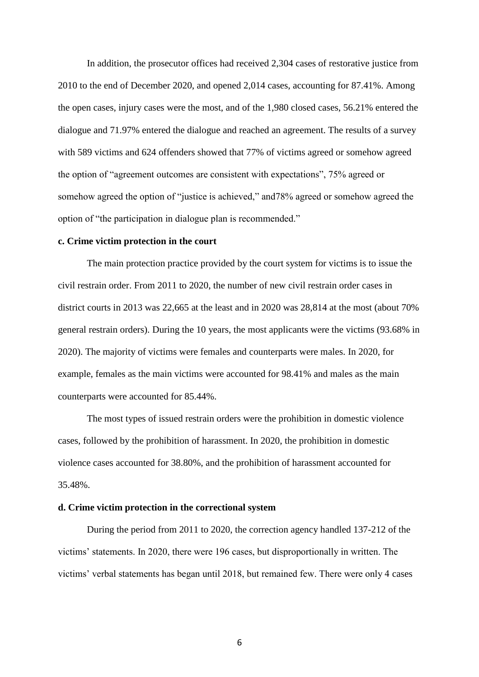In addition, the prosecutor offices had received 2,304 cases of restorative justice from 2010 to the end of December 2020, and opened 2,014 cases, accounting for 87.41%. Among the open cases, injury cases were the most, and of the 1,980 closed cases, 56.21% entered the dialogue and 71.97% entered the dialogue and reached an agreement. The results of a survey with 589 victims and 624 offenders showed that 77% of victims agreed or somehow agreed the option of "agreement outcomes are consistent with expectations", 75% agreed or somehow agreed the option of "justice is achieved," and78% agreed or somehow agreed the option of "the participation in dialogue plan is recommended."

#### **c. Crime victim protection in the court**

The main protection practice provided by the court system for victims is to issue the civil restrain order. From 2011 to 2020, the number of new civil restrain order cases in district courts in 2013 was 22,665 at the least and in 2020 was 28,814 at the most (about 70% general restrain orders). During the 10 years, the most applicants were the victims (93.68% in 2020). The majority of victims were females and counterparts were males. In 2020, for example, females as the main victims were accounted for 98.41% and males as the main counterparts were accounted for 85.44%.

The most types of issued restrain orders were the prohibition in domestic violence cases, followed by the prohibition of harassment. In 2020, the prohibition in domestic violence cases accounted for 38.80%, and the prohibition of harassment accounted for 35.48%.

### **d. Crime victim protection in the correctional system**

During the period from 2011 to 2020, the correction agency handled 137-212 of the victims' statements. In 2020, there were 196 cases, but disproportionally in written. The victims' verbal statements has began until 2018, but remained few. There were only 4 cases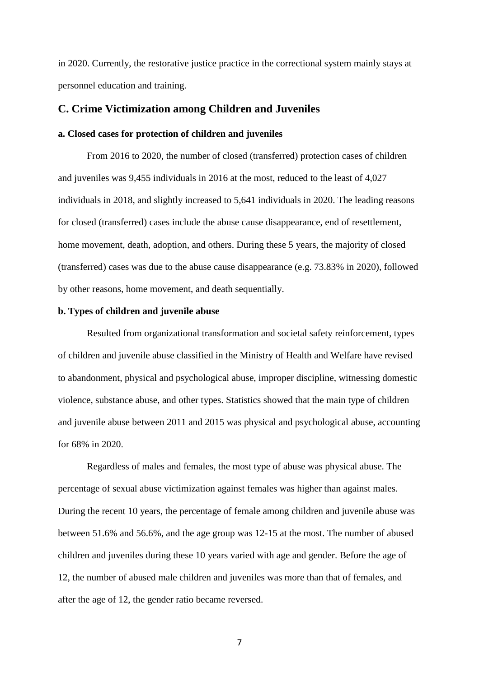in 2020. Currently, the restorative justice practice in the correctional system mainly stays at personnel education and training.

### **C. Crime Victimization among Children and Juveniles**

#### **a. Closed cases for protection of children and juveniles**

From 2016 to 2020, the number of closed (transferred) protection cases of children and juveniles was 9,455 individuals in 2016 at the most, reduced to the least of 4,027 individuals in 2018, and slightly increased to 5,641 individuals in 2020. The leading reasons for closed (transferred) cases include the abuse cause disappearance, end of resettlement, home movement, death, adoption, and others. During these 5 years, the majority of closed (transferred) cases was due to the abuse cause disappearance (e.g. 73.83% in 2020), followed by other reasons, home movement, and death sequentially.

#### **b. Types of children and juvenile abuse**

Resulted from organizational transformation and societal safety reinforcement, types of children and juvenile abuse classified in the Ministry of Health and Welfare have revised to abandonment, physical and psychological abuse, improper discipline, witnessing domestic violence, substance abuse, and other types. Statistics showed that the main type of children and juvenile abuse between 2011 and 2015 was physical and psychological abuse, accounting for 68% in 2020.

Regardless of males and females, the most type of abuse was physical abuse. The percentage of sexual abuse victimization against females was higher than against males. During the recent 10 years, the percentage of female among children and juvenile abuse was between 51.6% and 56.6%, and the age group was 12-15 at the most. The number of abused children and juveniles during these 10 years varied with age and gender. Before the age of 12, the number of abused male children and juveniles was more than that of females, and after the age of 12, the gender ratio became reversed.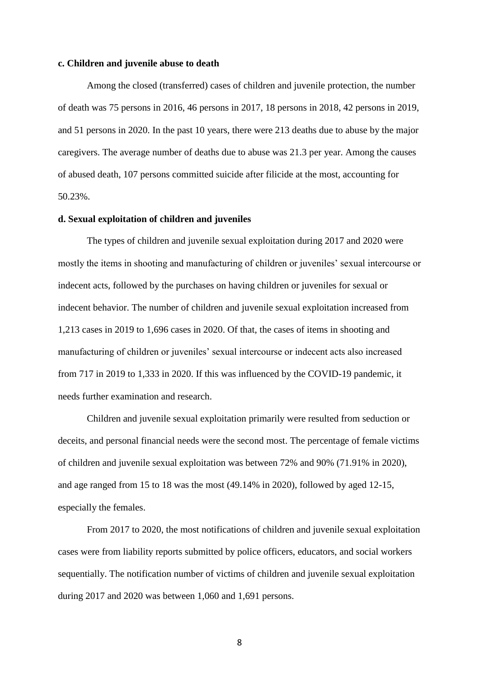#### **c. Children and juvenile abuse to death**

Among the closed (transferred) cases of children and juvenile protection, the number of death was 75 persons in 2016, 46 persons in 2017, 18 persons in 2018, 42 persons in 2019, and 51 persons in 2020. In the past 10 years, there were 213 deaths due to abuse by the major caregivers. The average number of deaths due to abuse was 21.3 per year. Among the causes of abused death, 107 persons committed suicide after filicide at the most, accounting for 50.23%.

#### **d. Sexual exploitation of children and juveniles**

The types of children and juvenile sexual exploitation during 2017 and 2020 were mostly the items in shooting and manufacturing of children or juveniles' sexual intercourse or indecent acts, followed by the purchases on having children or juveniles for sexual or indecent behavior. The number of children and juvenile sexual exploitation increased from 1,213 cases in 2019 to 1,696 cases in 2020. Of that, the cases of items in shooting and manufacturing of children or juveniles' sexual intercourse or indecent acts also increased from 717 in 2019 to 1,333 in 2020. If this was influenced by the COVID-19 pandemic, it needs further examination and research.

Children and juvenile sexual exploitation primarily were resulted from seduction or deceits, and personal financial needs were the second most. The percentage of female victims of children and juvenile sexual exploitation was between 72% and 90% (71.91% in 2020), and age ranged from 15 to 18 was the most (49.14% in 2020), followed by aged 12-15, especially the females.

From 2017 to 2020, the most notifications of children and juvenile sexual exploitation cases were from liability reports submitted by police officers, educators, and social workers sequentially. The notification number of victims of children and juvenile sexual exploitation during 2017 and 2020 was between 1,060 and 1,691 persons.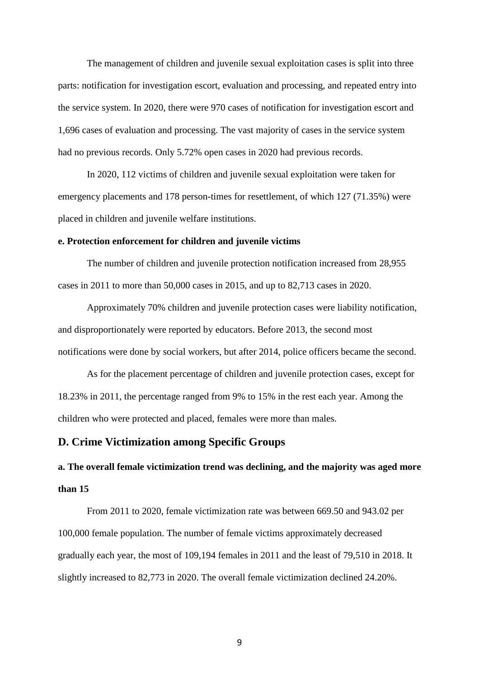The management of children and juvenile sexual exploitation cases is split into three parts: notification for investigation escort, evaluation and processing, and repeated entry into the service system. In 2020, there were 970 cases of notification for investigation escort and 1,696 cases of evaluation and processing. The vast majority of cases in the service system had no previous records. Only 5.72% open cases in 2020 had previous records.

In 2020, 112 victims of children and juvenile sexual exploitation were taken for emergency placements and 178 person-times for resettlement, of which 127 (71.35%) were placed in children and juvenile welfare institutions.

### **e. Protection enforcement for children and juvenile victims**

The number of children and juvenile protection notification increased from 28,955 cases in 2011 to more than 50,000 cases in 2015, and up to 82,713 cases in 2020.

Approximately 70% children and juvenile protection cases were liability notification, and disproportionately were reported by educators. Before 2013, the second most notifications were done by social workers, but after 2014, police officers became the second.

As for the placement percentage of children and juvenile protection cases, except for 18.23% in 2011, the percentage ranged from 9% to 15% in the rest each year. Among the children who were protected and placed, females were more than males.

## **D. Crime Victimization among Specific Groups**

# **a. The overall female victimization trend was declining, and the majority was aged more than 15**

From 2011 to 2020, female victimization rate was between 669.50 and 943.02 per 100,000 female population. The number of female victims approximately decreased gradually each year, the most of 109,194 females in 2011 and the least of 79,510 in 2018. It slightly increased to 82,773 in 2020. The overall female victimization declined 24.20%.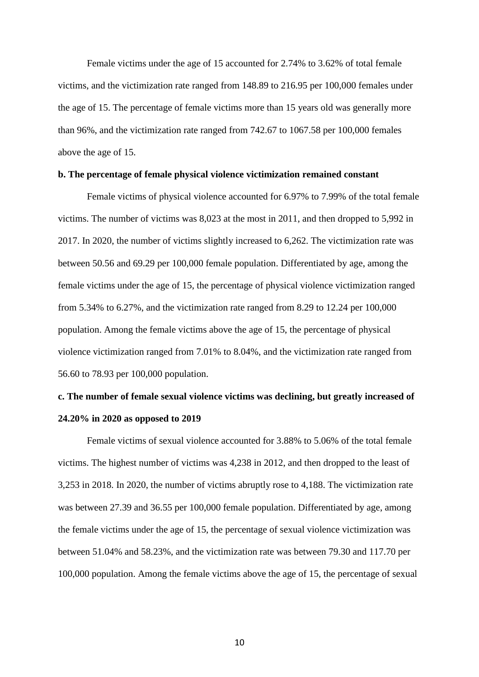Female victims under the age of 15 accounted for 2.74% to 3.62% of total female victims, and the victimization rate ranged from 148.89 to 216.95 per 100,000 females under the age of 15. The percentage of female victims more than 15 years old was generally more than 96%, and the victimization rate ranged from 742.67 to 1067.58 per 100,000 females above the age of 15.

### **b. The percentage of female physical violence victimization remained constant**

Female victims of physical violence accounted for 6.97% to 7.99% of the total female victims. The number of victims was 8,023 at the most in 2011, and then dropped to 5,992 in 2017. In 2020, the number of victims slightly increased to 6,262. The victimization rate was between 50.56 and 69.29 per 100,000 female population. Differentiated by age, among the female victims under the age of 15, the percentage of physical violence victimization ranged from 5.34% to 6.27%, and the victimization rate ranged from 8.29 to 12.24 per 100,000 population. Among the female victims above the age of 15, the percentage of physical violence victimization ranged from 7.01% to 8.04%, and the victimization rate ranged from 56.60 to 78.93 per 100,000 population.

## **c. The number of female sexual violence victims was declining, but greatly increased of 24.20% in 2020 as opposed to 2019**

Female victims of sexual violence accounted for 3.88% to 5.06% of the total female victims. The highest number of victims was 4,238 in 2012, and then dropped to the least of 3,253 in 2018. In 2020, the number of victims abruptly rose to 4,188. The victimization rate was between 27.39 and 36.55 per 100,000 female population. Differentiated by age, among the female victims under the age of 15, the percentage of sexual violence victimization was between 51.04% and 58.23%, and the victimization rate was between 79.30 and 117.70 per 100,000 population. Among the female victims above the age of 15, the percentage of sexual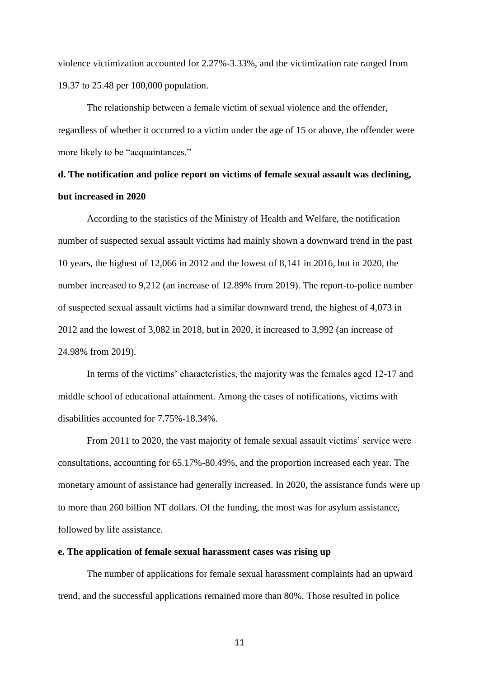violence victimization accounted for 2.27%-3.33%, and the victimization rate ranged from 19.37 to 25.48 per 100,000 population.

The relationship between a female victim of sexual violence and the offender, regardless of whether it occurred to a victim under the age of 15 or above, the offender were more likely to be "acquaintances."

## **d. The notification and police report on victims of female sexual assault was declining, but increased in 2020**

According to the statistics of the Ministry of Health and Welfare, the notification number of suspected sexual assault victims had mainly shown a downward trend in the past 10 years, the highest of 12,066 in 2012 and the lowest of 8,141 in 2016, but in 2020, the number increased to 9,212 (an increase of 12.89% from 2019). The report-to-police number of suspected sexual assault victims had a similar downward trend, the highest of 4,073 in 2012 and the lowest of 3,082 in 2018, but in 2020, it increased to 3,992 (an increase of 24.98% from 2019).

In terms of the victims' characteristics, the majority was the females aged 12-17 and middle school of educational attainment. Among the cases of notifications, victims with disabilities accounted for 7.75%-18.34%.

From 2011 to 2020, the vast majority of female sexual assault victims' service were consultations, accounting for 65.17%-80.49%, and the proportion increased each year. The monetary amount of assistance had generally increased. In 2020, the assistance funds were up to more than 260 billion NT dollars. Of the funding, the most was for asylum assistance, followed by life assistance.

### **e. The application of female sexual harassment cases was rising up**

The number of applications for female sexual harassment complaints had an upward trend, and the successful applications remained more than 80%. Those resulted in police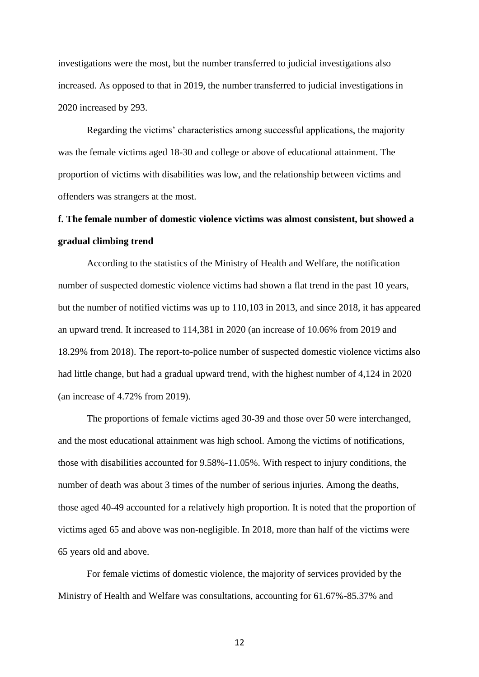investigations were the most, but the number transferred to judicial investigations also increased. As opposed to that in 2019, the number transferred to judicial investigations in 2020 increased by 293.

Regarding the victims' characteristics among successful applications, the majority was the female victims aged 18-30 and college or above of educational attainment. The proportion of victims with disabilities was low, and the relationship between victims and offenders was strangers at the most.

# **f. The female number of domestic violence victims was almost consistent, but showed a gradual climbing trend**

According to the statistics of the Ministry of Health and Welfare, the notification number of suspected domestic violence victims had shown a flat trend in the past 10 years, but the number of notified victims was up to 110,103 in 2013, and since 2018, it has appeared an upward trend. It increased to 114,381 in 2020 (an increase of 10.06% from 2019 and 18.29% from 2018). The report-to-police number of suspected domestic violence victims also had little change, but had a gradual upward trend, with the highest number of 4,124 in 2020 (an increase of 4.72% from 2019).

The proportions of female victims aged 30-39 and those over 50 were interchanged, and the most educational attainment was high school. Among the victims of notifications, those with disabilities accounted for 9.58%-11.05%. With respect to injury conditions, the number of death was about 3 times of the number of serious injuries. Among the deaths, those aged 40-49 accounted for a relatively high proportion. It is noted that the proportion of victims aged 65 and above was non-negligible. In 2018, more than half of the victims were 65 years old and above.

For female victims of domestic violence, the majority of services provided by the Ministry of Health and Welfare was consultations, accounting for 61.67%-85.37% and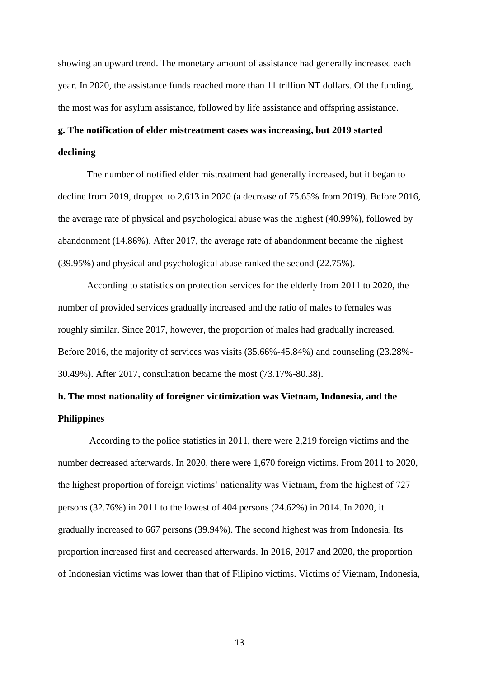showing an upward trend. The monetary amount of assistance had generally increased each year. In 2020, the assistance funds reached more than 11 trillion NT dollars. Of the funding, the most was for asylum assistance, followed by life assistance and offspring assistance.

# **g. The notification of elder mistreatment cases was increasing, but 2019 started declining**

The number of notified elder mistreatment had generally increased, but it began to decline from 2019, dropped to 2,613 in 2020 (a decrease of 75.65% from 2019). Before 2016, the average rate of physical and psychological abuse was the highest (40.99%), followed by abandonment (14.86%). After 2017, the average rate of abandonment became the highest (39.95%) and physical and psychological abuse ranked the second (22.75%).

According to statistics on protection services for the elderly from 2011 to 2020, the number of provided services gradually increased and the ratio of males to females was roughly similar. Since 2017, however, the proportion of males had gradually increased. Before 2016, the majority of services was visits (35.66%-45.84%) and counseling (23.28%- 30.49%). After 2017, consultation became the most (73.17%-80.38).

# **h. The most nationality of foreigner victimization was Vietnam, Indonesia, and the Philippines**

According to the police statistics in 2011, there were 2,219 foreign victims and the number decreased afterwards. In 2020, there were 1,670 foreign victims. From 2011 to 2020, the highest proportion of foreign victims' nationality was Vietnam, from the highest of 727 persons (32.76%) in 2011 to the lowest of 404 persons (24.62%) in 2014. In 2020, it gradually increased to 667 persons (39.94%). The second highest was from Indonesia. Its proportion increased first and decreased afterwards. In 2016, 2017 and 2020, the proportion of Indonesian victims was lower than that of Filipino victims. Victims of Vietnam, Indonesia,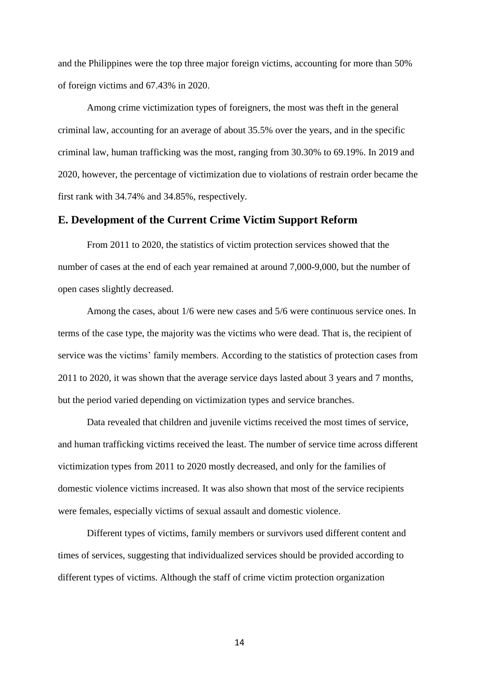and the Philippines were the top three major foreign victims, accounting for more than 50% of foreign victims and 67.43% in 2020.

Among crime victimization types of foreigners, the most was theft in the general criminal law, accounting for an average of about 35.5% over the years, and in the specific criminal law, human trafficking was the most, ranging from 30.30% to 69.19%. In 2019 and 2020, however, the percentage of victimization due to violations of restrain order became the first rank with 34.74% and 34.85%, respectively.

## **E. Development of the Current Crime Victim Support Reform**

From 2011 to 2020, the statistics of victim protection services showed that the number of cases at the end of each year remained at around 7,000-9,000, but the number of open cases slightly decreased.

Among the cases, about 1/6 were new cases and 5/6 were continuous service ones. In terms of the case type, the majority was the victims who were dead. That is, the recipient of service was the victims' family members. According to the statistics of protection cases from 2011 to 2020, it was shown that the average service days lasted about 3 years and 7 months, but the period varied depending on victimization types and service branches.

Data revealed that children and juvenile victims received the most times of service, and human trafficking victims received the least. The number of service time across different victimization types from 2011 to 2020 mostly decreased, and only for the families of domestic violence victims increased. It was also shown that most of the service recipients were females, especially victims of sexual assault and domestic violence.

Different types of victims, family members or survivors used different content and times of services, suggesting that individualized services should be provided according to different types of victims. Although the staff of crime victim protection organization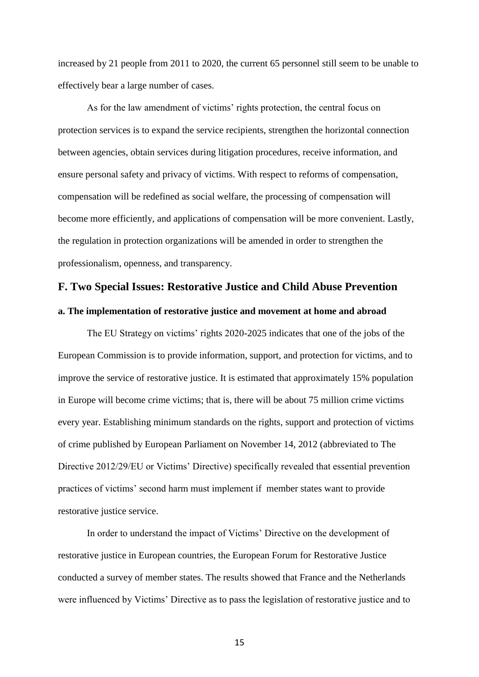increased by 21 people from 2011 to 2020, the current 65 personnel still seem to be unable to effectively bear a large number of cases.

As for the law amendment of victims' rights protection, the central focus on protection services is to expand the service recipients, strengthen the horizontal connection between agencies, obtain services during litigation procedures, receive information, and ensure personal safety and privacy of victims. With respect to reforms of compensation, compensation will be redefined as social welfare, the processing of compensation will become more efficiently, and applications of compensation will be more convenient. Lastly, the regulation in protection organizations will be amended in order to strengthen the professionalism, openness, and transparency.

## **F. Two Special Issues: Restorative Justice and Child Abuse Prevention**

### **a. The implementation of restorative justice and movement at home and abroad**

The EU Strategy on victims' rights 2020-2025 indicates that one of the jobs of the European Commission is to provide information, support, and protection for victims, and to improve the service of restorative justice. It is estimated that approximately 15% population in Europe will become crime victims; that is, there will be about 75 million crime victims every year. Establishing minimum standards on the rights, support and protection of victims of crime published by European Parliament on November 14, 2012 (abbreviated to The Directive 2012/29/EU or Victims' Directive) specifically revealed that essential prevention practices of victims' second harm must implement if member states want to provide restorative justice service.

In order to understand the impact of Victims' Directive on the development of restorative justice in European countries, the European Forum for Restorative Justice conducted a survey of member states. The results showed that France and the Netherlands were influenced by Victims' Directive as to pass the legislation of restorative justice and to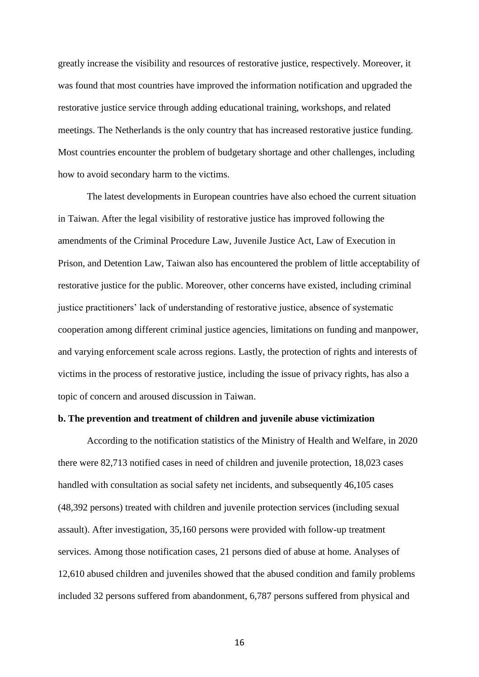greatly increase the visibility and resources of restorative justice, respectively. Moreover, it was found that most countries have improved the information notification and upgraded the restorative justice service through adding educational training, workshops, and related meetings. The Netherlands is the only country that has increased restorative justice funding. Most countries encounter the problem of budgetary shortage and other challenges, including how to avoid secondary harm to the victims.

The latest developments in European countries have also echoed the current situation in Taiwan. After the legal visibility of restorative justice has improved following the amendments of the Criminal Procedure Law, Juvenile Justice Act, Law of Execution in Prison, and Detention Law, Taiwan also has encountered the problem of little acceptability of restorative justice for the public. Moreover, other concerns have existed, including criminal justice practitioners' lack of understanding of restorative justice, absence of systematic cooperation among different criminal justice agencies, limitations on funding and manpower, and varying enforcement scale across regions. Lastly, the protection of rights and interests of victims in the process of restorative justice, including the issue of privacy rights, has also a topic of concern and aroused discussion in Taiwan.

## **b. The prevention and treatment of children and juvenile abuse victimization**

According to the notification statistics of the Ministry of Health and Welfare, in 2020 there were 82,713 notified cases in need of children and juvenile protection, 18,023 cases handled with consultation as social safety net incidents, and subsequently 46,105 cases (48,392 persons) treated with children and juvenile protection services (including sexual assault). After investigation, 35,160 persons were provided with follow-up treatment services. Among those notification cases, 21 persons died of abuse at home. Analyses of 12,610 abused children and juveniles showed that the abused condition and family problems included 32 persons suffered from abandonment, 6,787 persons suffered from physical and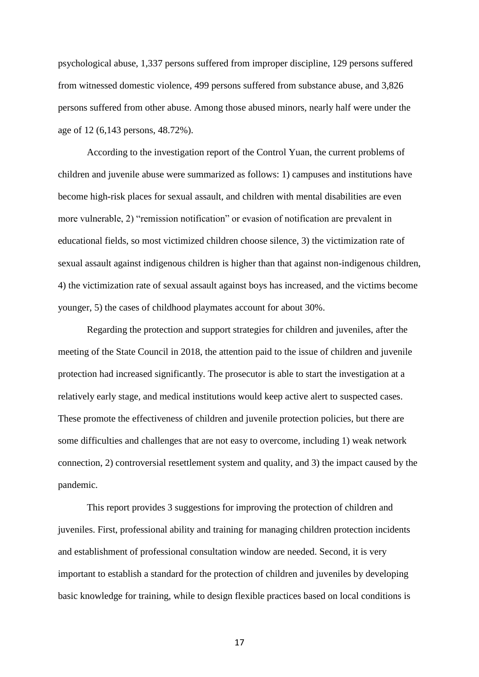psychological abuse, 1,337 persons suffered from improper discipline, 129 persons suffered from witnessed domestic violence, 499 persons suffered from substance abuse, and 3,826 persons suffered from other abuse. Among those abused minors, nearly half were under the age of 12 (6,143 persons, 48.72%).

According to the investigation report of the Control Yuan, the current problems of children and juvenile abuse were summarized as follows: 1) campuses and institutions have become high-risk places for sexual assault, and children with mental disabilities are even more vulnerable, 2) "remission notification" or evasion of notification are prevalent in educational fields, so most victimized children choose silence, 3) the victimization rate of sexual assault against indigenous children is higher than that against non-indigenous children, 4) the victimization rate of sexual assault against boys has increased, and the victims become younger, 5) the cases of childhood playmates account for about 30%.

Regarding the protection and support strategies for children and juveniles, after the meeting of the State Council in 2018, the attention paid to the issue of children and juvenile protection had increased significantly. The prosecutor is able to start the investigation at a relatively early stage, and medical institutions would keep active alert to suspected cases. These promote the effectiveness of children and juvenile protection policies, but there are some difficulties and challenges that are not easy to overcome, including 1) weak network connection, 2) controversial resettlement system and quality, and 3) the impact caused by the pandemic.

This report provides 3 suggestions for improving the protection of children and juveniles. First, professional ability and training for managing children protection incidents and establishment of professional consultation window are needed. Second, it is very important to establish a standard for the protection of children and juveniles by developing basic knowledge for training, while to design flexible practices based on local conditions is